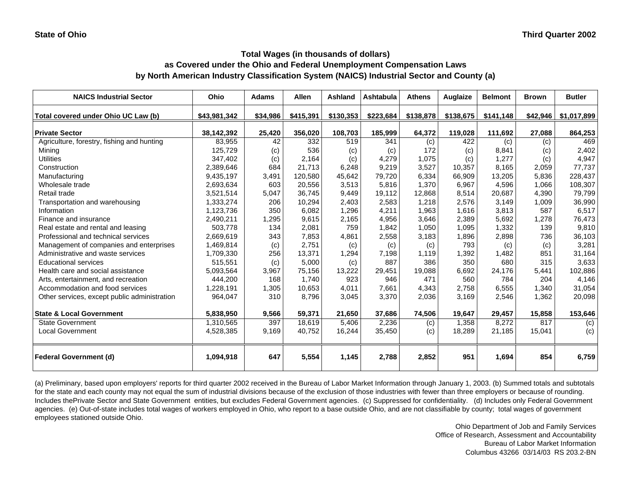# **Total Wages (in thousands of dollars)**

#### **as Covered under the Ohio and Federal Unemployment Compensation Laws by North American Industry Classification System (NAICS) Industrial Sector and County (a)**

| <b>NAICS Industrial Sector</b>               | Ohio         | <b>Adams</b> | <b>Allen</b> | <b>Ashland</b> | <b>Ashtabula</b> | <b>Athens</b> | Auglaize  | <b>Belmont</b> | <b>Brown</b> | <b>Butler</b> |
|----------------------------------------------|--------------|--------------|--------------|----------------|------------------|---------------|-----------|----------------|--------------|---------------|
| Total covered under Ohio UC Law (b)          | \$43,981,342 | \$34,986     | \$415,391    | \$130,353      | \$223,684        | \$138,878     | \$138,675 | \$141,148      | \$42,946     | \$1,017,899   |
| <b>Private Sector</b>                        | 38,142,392   | 25,420       | 356,020      | 108,703        | 185,999          | 64,372        | 119,028   | 111,692        | 27,088       | 864,253       |
| Agriculture, forestry, fishing and hunting   | 83,955       | 42           | 332          | 519            | 341              | (c)           | 422       | (c)            | (c)          | 469           |
| Mining                                       | 125,729      | (c)          | 536          | (c)            | (c)              | 172           | (c)       | 8,841          | (c)          | 2,402         |
| <b>Utilities</b>                             | 347,402      | (c)          | 2,164        | (c)            | 4,279            | 1,075         | (c)       | 1,277          | (c)          | 4,947         |
| Construction                                 | 2,389,646    | 684          | 21,713       | 6,248          | 9,219            | 3,527         | 10,357    | 8,165          | 2,059        | 77,737        |
| Manufacturing                                | 9,435,197    | 3,491        | 120,580      | 45,642         | 79,720           | 6,334         | 66,909    | 13,205         | 5,836        | 228,437       |
| Wholesale trade                              | 2,693,634    | 603          | 20,556       | 3,513          | 5,816            | 1,370         | 6,967     | 4,596          | 1,066        | 108,307       |
| Retail trade                                 | 3,521,514    | 5,047        | 36,745       | 9,449          | 19,112           | 12,868        | 8,514     | 20,687         | 4,390        | 79,799        |
| Transportation and warehousing               | 1,333,274    | 206          | 10,294       | 2,403          | 2,583            | 1,218         | 2,576     | 3,149          | 1,009        | 36,990        |
| Information                                  | 1,123,736    | 350          | 6,082        | 1,296          | 4,211            | 1,963         | 1,616     | 3,813          | 587          | 6,517         |
| Finance and insurance                        | 2,490,211    | 1,295        | 9,615        | 2,165          | 4,956            | 3,646         | 2,389     | 5,692          | 1,278        | 76,473        |
| Real estate and rental and leasing           | 503,778      | 134          | 2,081        | 759            | 1,842            | 1,050         | 1,095     | 1,332          | 139          | 9,810         |
| Professional and technical services          | 2,669,619    | 343          | 7,853        | 4,861          | 2,558            | 3,183         | 1,896     | 2,898          | 736          | 36,103        |
| Management of companies and enterprises      | 1,469,814    | (c)          | 2,751        | (c)            | (c)              | (c)           | 793       | (c)            | (c)          | 3,281         |
| Administrative and waste services            | 1,709,330    | 256          | 13,371       | 1,294          | 7,198            | 1,119         | 1,392     | 1,482          | 851          | 31,164        |
| <b>Educational services</b>                  | 515.551      | (c)          | 5,000        | (c)            | 887              | 386           | 350       | 680            | 315          | 3,633         |
| Health care and social assistance            | 5,093,564    | 3,967        | 75,156       | 13,222         | 29,451           | 19.088        | 6,692     | 24,176         | 5,441        | 102,886       |
| Arts, entertainment, and recreation          | 444,200      | 168          | 1.740        | 923            | 946              | 471           | 560       | 784            | 204          | 4,146         |
| Accommodation and food services              | 1,228,191    | 1,305        | 10,653       | 4,011          | 7,661            | 4,343         | 2,758     | 6,555          | 1,340        | 31,054        |
| Other services, except public administration | 964,047      | 310          | 8,796        | 3,045          | 3,370            | 2,036         | 3,169     | 2,546          | 1,362        | 20,098        |
| <b>State &amp; Local Government</b>          | 5,838,950    | 9,566        | 59,371       | 21,650         | 37,686           | 74,506        | 19,647    | 29,457         | 15,858       | 153,646       |
| <b>State Government</b>                      | 1,310,565    | 397          | 18,619       | 5,406          | 2,236            | (c)           | 1,358     | 8,272          | 817          | (c)           |
| <b>Local Government</b>                      | 4,528,385    | 9,169        | 40,752       | 16,244         | 35,450           | (c)           | 18,289    | 21,185         | 15,041       | (c)           |
| <b>Federal Government (d)</b>                | 1,094,918    | 647          | 5,554        | 1,145          | 2,788            | 2,852         | 951       | 1,694          | 854          | 6,759         |

(a) Preliminary, based upon employers' reports for third quarter 2002 received in the Bureau of Labor Market Information through January 1, 2003. (b) Summed totals and subtotals for the state and each county may not equal the sum of industrial divisions because of the exclusion of those industries with fewer than three employers or because of rounding. Includes thePrivate Sector and State Government entities, but excludes Federal Government agencies. (c) Suppressed for confidentiality. (d) Includes only Federal Government agencies. (e) Out-of-state includes total wages of workers employed in Ohio, who report to a base outside Ohio, and are not classifiable by county; total wages of government employees stationed outside Ohio.

> Ohio Department of Job and Family Services Office of Research, Assessment and Accountability Bureau of Labor Market Information Columbus 43266 03/14/03 RS 203.2-BN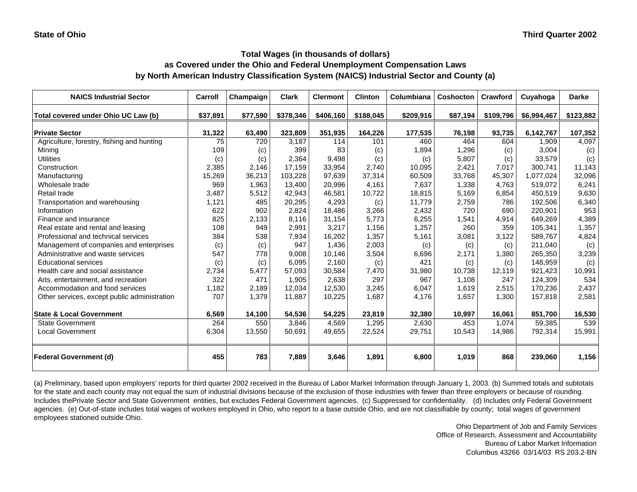| <b>NAICS Industrial Sector</b>               | Carroll  | Champaign | <b>Clark</b> | <b>Clermont</b> | <b>Clinton</b> | Columbiana | <b>Coshocton</b> | Crawford  | Cuyahoga    | <b>Darke</b> |
|----------------------------------------------|----------|-----------|--------------|-----------------|----------------|------------|------------------|-----------|-------------|--------------|
| Total covered under Ohio UC Law (b)          | \$37,891 | \$77,590  | \$378,346    | \$406,160       | \$188,045      | \$209,916  | \$87,194         | \$109,796 | \$6,994,467 | \$123,882    |
| <b>Private Sector</b>                        | 31,322   | 63,490    | 323,809      | 351,935         | 164,226        | 177,535    | 76,198           | 93,735    | 6,142,767   | 107,352      |
| Agriculture, forestry, fishing and hunting   | 75       | 720       | 3,187        | 114             | 101            | 460        | 464              | 604       | 1,909       | 4,097        |
| Mining                                       | 109      | (c)       | 399          | 83              | (c)            | 1,894      | 1,296            | (c)       | 3,004       | (c)          |
| <b>Utilities</b>                             | (c)      | (c)       | 2,364        | 9,498           | (c)            | (c)        | 5,807            | (c)       | 33,579      | (c)          |
| Construction                                 | 2,385    | 2,146     | 17,159       | 33,954          | 2,740          | 10,095     | 2,421            | 7,017     | 300,741     | 11,143       |
| Manufacturing                                | 15,269   | 36,213    | 103,228      | 97,639          | 37,314         | 60,509     | 33,768           | 45,307    | 1,077,024   | 32,096       |
| Wholesale trade                              | 969      | 1,963     | 13,400       | 20,996          | 4,161          | 7,637      | 1,338            | 4,763     | 519,072     | 6,241        |
| Retail trade                                 | 3,487    | 5,512     | 42,943       | 46,581          | 10,722         | 18,815     | 5,169            | 6,854     | 450,519     | 9,630        |
| Transportation and warehousing               | 1,121    | 485       | 20,295       | 4,293           | (c)            | 11,779     | 2,759            | 786       | 192,506     | 6,340        |
| Information                                  | 622      | 902       | 2,824        | 18.486          | 3,266          | 2,432      | 720              | 690       | 220,901     | 953          |
| Finance and insurance                        | 825      | 2,133     | 8,116        | 31,154          | 5,773          | 6,255      | 1,541            | 4,914     | 649.269     | 4,389        |
| Real estate and rental and leasing           | 108      | 949       | 2,991        | 3,217           | 1,156          | 1,257      | 260              | 359       | 105,341     | 1,357        |
| Professional and technical services          | 384      | 538       | 7,934        | 16,202          | 1,357          | 5,161      | 3,081            | 3,122     | 589,767     | 4,824        |
| Management of companies and enterprises      | (c)      | (c)       | 947          | 1,436           | 2,003          | (c)        | (c)              | (c)       | 211,040     | (c)          |
| Administrative and waste services            | 547      | 778       | 9,008        | 10,146          | 3,504          | 6,696      | 2,171            | 1,380     | 265,350     | 3,239        |
| <b>Educational services</b>                  | (c)      | (c)       | 6,095        | 2,160           | (c)            | 421        | (c)              | (c)       | 148,959     | (c)          |
| Health care and social assistance            | 2,734    | 5,477     | 57,093       | 30.584          | 7,470          | 31,980     | 10.738           | 12.119    | 921,423     | 10,991       |
| Arts, entertainment, and recreation          | 322      | 471       | 1,905        | 2,638           | 297            | 967        | 1,108            | 247       | 124,309     | 534          |
| Accommodation and food services              | 1,182    | 2,189     | 12,034       | 12,530          | 3,245          | 6,047      | 1,619            | 2,515     | 170,236     | 2,437        |
| Other services, except public administration | 707      | 1,379     | 11,887       | 10,225          | 1,687          | 4,176      | 1,657            | 1,300     | 157,818     | 2,581        |
| <b>State &amp; Local Government</b>          | 6,569    | 14,100    | 54,536       | 54,225          | 23,819         | 32,380     | 10,997           | 16,061    | 851,700     | 16,530       |
| <b>State Government</b>                      | 264      | 550       | 3,846        | 4,569           | 1,295          | 2,630      | 453              | 1,074     | 59,385      | 539          |
| <b>Local Government</b>                      | 6,304    | 13,550    | 50,691       | 49,655          | 22,524         | 29,751     | 10,543           | 14,986    | 792,314     | 15,991       |
| <b>Federal Government (d)</b>                | 455      | 783       | 7,889        | 3,646           | 1,891          | 6,800      | 1,019            | 868       | 239.060     | 1,156        |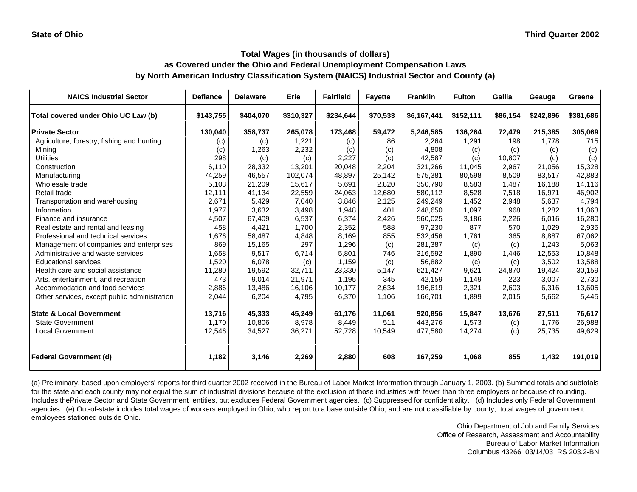| <b>NAICS Industrial Sector</b>               | <b>Defiance</b> | <b>Delaware</b> | Erie      | <b>Fairfield</b> | <b>Fayette</b> | <b>Franklin</b> | <b>Fulton</b> | Gallia   | Geauga    | Greene    |
|----------------------------------------------|-----------------|-----------------|-----------|------------------|----------------|-----------------|---------------|----------|-----------|-----------|
| Total covered under Ohio UC Law (b)          | \$143,755       | \$404,070       | \$310,327 | \$234,644        | \$70,533       | \$6,167,441     | \$152,111     | \$86,154 | \$242,896 | \$381,686 |
| <b>Private Sector</b>                        | 130,040         | 358,737         | 265,078   | 173,468          | 59,472         | 5,246,585       | 136,264       | 72,479   | 215,385   | 305,069   |
| Agriculture, forestry, fishing and hunting   | (c)             | (c)             | 1,221     | (c)              | 86             | 2,264           | 1,291         | 198      | 1,778     | 715       |
| Mining                                       | (c)             | 1,263           | 2,232     | (c)              | (c)            | 4,808           | (c)           | (c)      | (c)       | (c)       |
| <b>Utilities</b>                             | 298             | (c)             | (c)       | 2,227            | (c)            | 42,587          | (c)           | 10,807   | (c)       | (c)       |
| Construction                                 | 6,110           | 28,332          | 13,201    | 20,048           | 2,204          | 321,266         | 11,045        | 2,967    | 21,056    | 15,328    |
| Manufacturing                                | 74,259          | 46,557          | 102,074   | 48,897           | 25,142         | 575,381         | 80,598        | 8,509    | 83,517    | 42,883    |
| Wholesale trade                              | 5,103           | 21,209          | 15,617    | 5,691            | 2,820          | 350,790         | 8,583         | 1,487    | 16,188    | 14, 116   |
| Retail trade                                 | 12,111          | 41,134          | 22,559    | 24,063           | 12,680         | 580,112         | 8,528         | 7,518    | 16,971    | 46,902    |
| Transportation and warehousing               | 2,671           | 5,429           | 7,040     | 3,846            | 2,125          | 249,249         | 1,452         | 2,948    | 5,637     | 4,794     |
| Information                                  | 1,977           | 3,632           | 3,498     | 1,948            | 401            | 248,650         | 1,097         | 968      | 1,282     | 11,063    |
| Finance and insurance                        | 4,507           | 67,409          | 6,537     | 6,374            | 2,426          | 560,025         | 3,186         | 2,226    | 6,016     | 16,280    |
| Real estate and rental and leasing           | 458             | 4,421           | 1,700     | 2,352            | 588            | 97,230          | 877           | 570      | 1,029     | 2,935     |
| Professional and technical services          | 1,676           | 58,487          | 4,848     | 8,169            | 855            | 532,456         | 1,761         | 365      | 8.887     | 67,062    |
| Management of companies and enterprises      | 869             | 15,165          | 297       | 1,296            | (c)            | 281,387         | (c)           | (c)      | 1,243     | 5,063     |
| Administrative and waste services            | 1,658           | 9,517           | 6,714     | 5,801            | 746            | 316,592         | 1,890         | 1,446    | 12,553    | 10,848    |
| <b>Educational services</b>                  | 1,520           | 6,078           | (c)       | 1,159            | (c)            | 56,882          | (c)           | (c)      | 3,502     | 13,588    |
| Health care and social assistance            | 11,280          | 19,592          | 32,711    | 23,330           | 5,147          | 621,427         | 9,621         | 24,870   | 19,424    | 30,159    |
| Arts, entertainment, and recreation          | 473             | 9,014           | 21,971    | 1,195            | 345            | 42,159          | 1,149         | 223      | 3,007     | 2,730     |
| Accommodation and food services              | 2,886           | 13,486          | 16,106    | 10,177           | 2,634          | 196,619         | 2,321         | 2,603    | 6,316     | 13,605    |
| Other services, except public administration | 2,044           | 6,204           | 4,795     | 6,370            | 1,106          | 166,701         | 1,899         | 2,015    | 5,662     | 5,445     |
| <b>State &amp; Local Government</b>          | 13,716          | 45,333          | 45,249    | 61,176           | 11,061         | 920,856         | 15,847        | 13,676   | 27,511    | 76,617    |
| State Government                             | 1,170           | 10,806          | 8,978     | 8,449            | 511            | 443,276         | 1,573         | (c)      | 1,776     | 26,988    |
| <b>Local Government</b>                      | 12,546          | 34,527          | 36,271    | 52,728           | 10,549         | 477,580         | 14,274        | (c)      | 25,735    | 49,629    |
| <b>Federal Government (d)</b>                | 1,182           | 3,146           | 2,269     | 2,880            | 608            | 167,259         | 1,068         | 855      | 1,432     | 191,019   |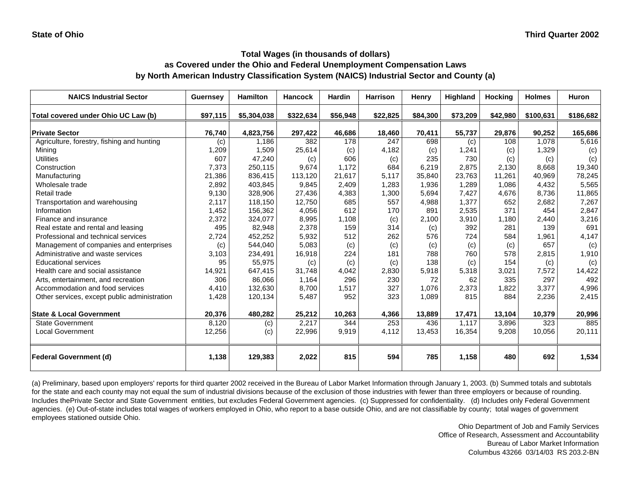| <b>NAICS Industrial Sector</b>               | Guernsey | <b>Hamilton</b> | <b>Hancock</b> | Hardin   | <b>Harrison</b> | Henry    | <b>Highland</b> | <b>Hocking</b> | <b>Holmes</b> | <b>Huron</b> |
|----------------------------------------------|----------|-----------------|----------------|----------|-----------------|----------|-----------------|----------------|---------------|--------------|
| Total covered under Ohio UC Law (b)          | \$97,115 | \$5,304,038     | \$322,634      | \$56,948 | \$22,825        | \$84,300 | \$73,209        | \$42,980       | \$100,631     | \$186,682    |
| <b>Private Sector</b>                        | 76,740   | 4,823,756       | 297,422        | 46,686   | 18,460          | 70,411   | 55,737          | 29,876         | 90,252        | 165,686      |
| Agriculture, forestry, fishing and hunting   | (c)      | 1,186           | 382            | 178      | 247             | 698      | (c)             | 108            | 1,078         | 5,616        |
| Mining                                       | 1,209    | 1,509           | 25,614         | (c)      | 4,182           | (c)      | 1,241           | (c)            | 1,329         | (c)          |
| <b>Utilities</b>                             | 607      | 47,240          | (c)            | 606      | (c)             | 235      | 730             | (c)            | (c)           | (c)          |
| Construction                                 | 7,373    | 250,115         | 9,674          | 1.172    | 684             | 6,219    | 2,875           | 2.130          | 8,668         | 19,340       |
| Manufacturing                                | 21,386   | 836,415         | 113,120        | 21,617   | 5,117           | 35,840   | 23,763          | 11,261         | 40,969        | 78,245       |
| Wholesale trade                              | 2,892    | 403,845         | 9,845          | 2,409    | 1,283           | 1,936    | 1,289           | 1,086          | 4,432         | 5,565        |
| Retail trade                                 | 9,130    | 328,906         | 27,436         | 4,383    | 1,300           | 5,694    | 7,427           | 4,676          | 8,736         | 11,865       |
| Transportation and warehousing               | 2,117    | 118,150         | 12,750         | 685      | 557             | 4,988    | 1,377           | 652            | 2,682         | 7,267        |
| Information                                  | 1,452    | 156,362         | 4,056          | 612      | 170             | 891      | 2,535           | 371            | 454           | 2,847        |
| Finance and insurance                        | 2,372    | 324,077         | 8,995          | 1,108    | (c)             | 2,100    | 3,910           | 1,180          | 2,440         | 3,216        |
| Real estate and rental and leasing           | 495      | 82,948          | 2,378          | 159      | 314             | (c)      | 392             | 281            | 139           | 691          |
| Professional and technical services          | 2,724    | 452,252         | 5,932          | 512      | 262             | 576      | 724             | 584            | 1,961         | 4,147        |
| Management of companies and enterprises      | (c)      | 544,040         | 5,083          | (c)      | (c)             | (c)      | (c)             | (c)            | 657           | (c)          |
| Administrative and waste services            | 3,103    | 234,491         | 16,918         | 224      | 181             | 788      | 760             | 578            | 2,815         | 1,910        |
| <b>Educational services</b>                  | 95       | 55,975          | (c)            | (c)      | (c)             | 138      | (c)             | 154            | (c)           | (c)          |
| Health care and social assistance            | 14,921   | 647,415         | 31.748         | 4,042    | 2,830           | 5,918    | 5,318           | 3,021          | 7,572         | 14,422       |
| Arts, entertainment, and recreation          | 306      | 86.066          | 1,164          | 296      | 230             | 72       | 62              | 335            | 297           | 492          |
| Accommodation and food services              | 4,410    | 132,630         | 8,700          | 1,517    | 327             | 1,076    | 2,373           | 1,822          | 3,377         | 4,996        |
| Other services, except public administration | 1,428    | 120,134         | 5,487          | 952      | 323             | 1,089    | 815             | 884            | 2,236         | 2,415        |
| <b>State &amp; Local Government</b>          | 20,376   | 480,282         | 25,212         | 10,263   | 4,366           | 13,889   | 17,471          | 13,104         | 10,379        | 20,996       |
| <b>State Government</b>                      | 8,120    | (c)             | 2,217          | 344      | 253             | 436      | 1,117           | 3,896          | 323           | 885          |
| <b>Local Government</b>                      | 12,256   | (c)             | 22,996         | 9,919    | 4,112           | 13,453   | 16,354          | 9,208          | 10,056        | 20,111       |
| <b>Federal Government (d)</b>                | 1,138    | 129,383         | 2,022          | 815      | 594             | 785      | 1,158           | 480            | 692           | 1,534        |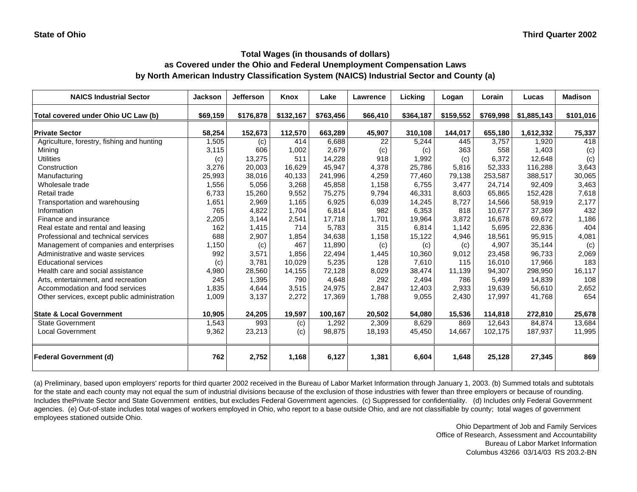| <b>NAICS Industrial Sector</b>               | <b>Jackson</b> | <b>Jefferson</b> | Knox      | Lake      | Lawrence | Licking   | Logan     | Lorain    | Lucas       | <b>Madison</b> |
|----------------------------------------------|----------------|------------------|-----------|-----------|----------|-----------|-----------|-----------|-------------|----------------|
| Total covered under Ohio UC Law (b)          | \$69,159       | \$176,878        | \$132,167 | \$763,456 | \$66,410 | \$364,187 | \$159,552 | \$769,998 | \$1,885,143 | \$101,016      |
| <b>Private Sector</b>                        | 58,254         | 152,673          | 112,570   | 663,289   | 45,907   | 310,108   | 144,017   | 655,180   | 1,612,332   | 75,337         |
| Agriculture, forestry, fishing and hunting   | 1,505          | (c)              | 414       | 6,688     | 22       | 5,244     | 445       | 3.757     | 1,920       | 418            |
| Mining                                       | 3,115          | 606              | 1,002     | 2,679     | (c)      | (c)       | 363       | 558       | 1,403       | (c)            |
| <b>Utilities</b>                             | (c)            | 13,275           | 511       | 14,228    | 918      | 1,992     | (c)       | 6,372     | 12,648      | (c)            |
| Construction                                 | 3,276          | 20,003           | 16,629    | 45,947    | 4,378    | 25,786    | 5,816     | 52,333    | 116,288     | 3,643          |
| Manufacturing                                | 25,993         | 38,016           | 40,133    | 241,996   | 4,259    | 77,460    | 79,138    | 253,587   | 388,517     | 30,065         |
| Wholesale trade                              | 1,556          | 5,056            | 3,268     | 45,858    | 1,158    | 6,755     | 3,477     | 24,714    | 92,409      | 3,463          |
| Retail trade                                 | 6,733          | 15,260           | 9,552     | 75,275    | 9,794    | 46,331    | 8,603     | 65,865    | 152,428     | 7,618          |
| Transportation and warehousing               | 1,651          | 2,969            | 1,165     | 6,925     | 6,039    | 14,245    | 8,727     | 14,566    | 58,919      | 2,177          |
| Information                                  | 765            | 4,822            | 1,704     | 6,814     | 982      | 6,353     | 818       | 10,677    | 37,369      | 432            |
| Finance and insurance                        | 2,205          | 3,144            | 2,541     | 17,718    | 1,701    | 19,964    | 3,872     | 16,678    | 69,672      | 1,186          |
| Real estate and rental and leasing           | 162            | 1,415            | 714       | 5,783     | 315      | 6,814     | 1,142     | 5,695     | 22,836      | 404            |
| Professional and technical services          | 688            | 2,907            | 1,854     | 34,638    | 1,158    | 15,122    | 4,946     | 18,561    | 95,915      | 4,081          |
| Management of companies and enterprises      | 1,150          | (c)              | 467       | 11,890    | (c)      | (c)       | (c)       | 4,907     | 35,144      | (c)            |
| Administrative and waste services            | 992            | 3,571            | 1,856     | 22,494    | 1,445    | 10,360    | 9,012     | 23,458    | 96,733      | 2,069          |
| <b>Educational services</b>                  | (c)            | 3,781            | 10,029    | 5,235     | 128      | 7,610     | 115       | 16,010    | 17,966      | 183            |
| Health care and social assistance            | 4,980          | 28,560           | 14,155    | 72,128    | 8,029    | 38,474    | 11,139    | 94,307    | 298,950     | 16, 117        |
| Arts, entertainment, and recreation          | 245            | 1,395            | 790       | 4,648     | 292      | 2,494     | 786       | 5,499     | 14,839      | 108            |
| Accommodation and food services              | 1,835          | 4,644            | 3,515     | 24,975    | 2,847    | 12,403    | 2,933     | 19,639    | 56,610      | 2,652          |
| Other services, except public administration | 1,009          | 3,137            | 2,272     | 17,369    | 1,788    | 9,055     | 2,430     | 17,997    | 41,768      | 654            |
| <b>State &amp; Local Government</b>          | 10,905         | 24,205           | 19,597    | 100,167   | 20,502   | 54,080    | 15,536    | 114,818   | 272,810     | 25,678         |
| State Government                             | 1,543          | 993              | (c)       | 1,292     | 2,309    | 8,629     | 869       | 12,643    | 84,874      | 13,684         |
| <b>Local Government</b>                      | 9,362          | 23,213           | (c)       | 98,875    | 18,193   | 45,450    | 14,667    | 102,175   | 187,937     | 11,995         |
| <b>Federal Government (d)</b>                | 762            | 2,752            | 1,168     | 6,127     | 1,381    | 6,604     | 1,648     | 25,128    | 27,345      | 869            |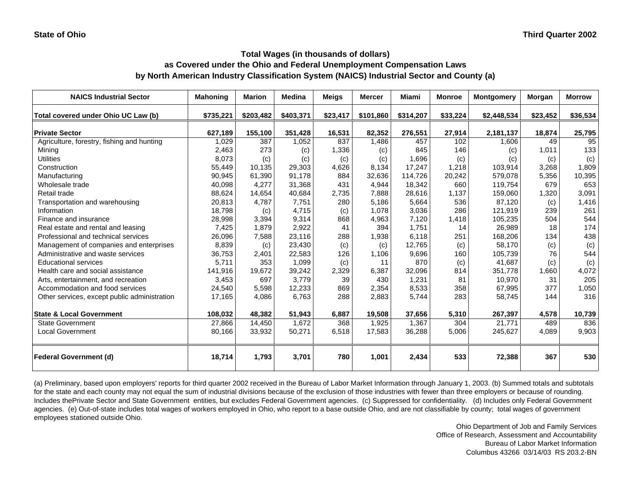| <b>NAICS Industrial Sector</b>               | <b>Mahoning</b> | <b>Marion</b> | <b>Medina</b> | <b>Meigs</b> | <b>Mercer</b> | <b>Miami</b> | <b>Monroe</b> | <b>Montgomery</b> | Morgan   | <b>Morrow</b> |
|----------------------------------------------|-----------------|---------------|---------------|--------------|---------------|--------------|---------------|-------------------|----------|---------------|
| Total covered under Ohio UC Law (b)          | \$735,221       | \$203,482     | \$403,371     | \$23,417     | \$101,860     | \$314,207    | \$33,224      | \$2,448,534       | \$23,452 | \$36,534      |
| <b>Private Sector</b>                        | 627,189         | 155,100       | 351,428       | 16,531       | 82,352        | 276,551      | 27,914        | 2,181,137         | 18,874   | 25,795        |
| Agriculture, forestry, fishing and hunting   | 1,029           | 387           | 1,052         | 837          | 1,486         | 457          | 102           | 1,606             | 49       | 95            |
| Mining                                       | 2,463           | 273           | (c)           | 1,336        | (c)           | 845          | 146           | (c)               | 1,011    | 133           |
| <b>Utilities</b>                             | 8,073           | (c)           | (c)           | (c)          | (c)           | 1,696        | (c)           | (c)               | (c)      | (c)           |
| Construction                                 | 55,449          | 10,135        | 29,303        | 4,626        | 8,134         | 17,247       | 1,218         | 103,914           | 3,268    | 1,809         |
| Manufacturing                                | 90,945          | 61,390        | 91,178        | 884          | 32,636        | 114,726      | 20,242        | 579,078           | 5,356    | 10,395        |
| Wholesale trade                              | 40,098          | 4,277         | 31,368        | 431          | 4,944         | 18,342       | 660           | 119,754           | 679      | 653           |
| Retail trade                                 | 88,624          | 14,654        | 40,684        | 2,735        | 7,888         | 28,616       | 1,137         | 159,060           | 1,320    | 3,091         |
| Transportation and warehousing               | 20,813          | 4,787         | 7,751         | 280          | 5,186         | 5,664        | 536           | 87,120            | (c)      | 1,416         |
| Information                                  | 18,798          | (c)           | 4,715         | (c)          | 1,078         | 3,036        | 286           | 121,919           | 239      | 261           |
| Finance and insurance                        | 28,998          | 3,394         | 9,314         | 868          | 4,963         | 7,120        | 1,418         | 105,235           | 504      | 544           |
| Real estate and rental and leasing           | 7,425           | 1,879         | 2,922         | 41           | 394           | 1,751        | 14            | 26,989            | 18       | 174           |
| Professional and technical services          | 26,096          | 7,588         | 23,116        | 288          | 1,938         | 6,118        | 251           | 168,206           | 134      | 438           |
| Management of companies and enterprises      | 8,839           | (c)           | 23,430        | (c)          | (c)           | 12,765       | (c)           | 58,170            | (c)      | (c)           |
| Administrative and waste services            | 36,753          | 2,401         | 22,583        | 126          | 1,106         | 9,696        | 160           | 105,739           | 76       | 544           |
| <b>Educational services</b>                  | 5,711           | 353           | 1,099         | (c)          | 11            | 870          | (c)           | 41,687            | (c)      | (c)           |
| Health care and social assistance            | 141,916         | 19,672        | 39,242        | 2,329        | 6,387         | 32,096       | 814           | 351,778           | 1,660    | 4,072         |
| Arts, entertainment, and recreation          | 3,453           | 697           | 3,779         | 39           | 430           | 1,231        | 81            | 10,970            | 31       | 205           |
| Accommodation and food services              | 24,540          | 5,598         | 12,233        | 869          | 2,354         | 8,533        | 358           | 67,995            | 377      | 1,050         |
| Other services, except public administration | 17,165          | 4,086         | 6,763         | 288          | 2,883         | 5,744        | 283           | 58,745            | 144      | 316           |
| <b>State &amp; Local Government</b>          | 108,032         | 48,382        | 51,943        | 6,887        | 19,508        | 37,656       | 5,310         | 267,397           | 4,578    | 10,739        |
| <b>State Government</b>                      | 27,866          | 14,450        | 1,672         | 368          | 1,925         | 1,367        | 304           | 21,771            | 489      | 836           |
| <b>Local Government</b>                      | 80,166          | 33,932        | 50,271        | 6,518        | 17,583        | 36,288       | 5,006         | 245,627           | 4,089    | 9,903         |
| <b>Federal Government (d)</b>                | 18,714          | 1,793         | 3,701         | 780          | 1,001         | 2,434        | 533           | 72,388            | 367      | 530           |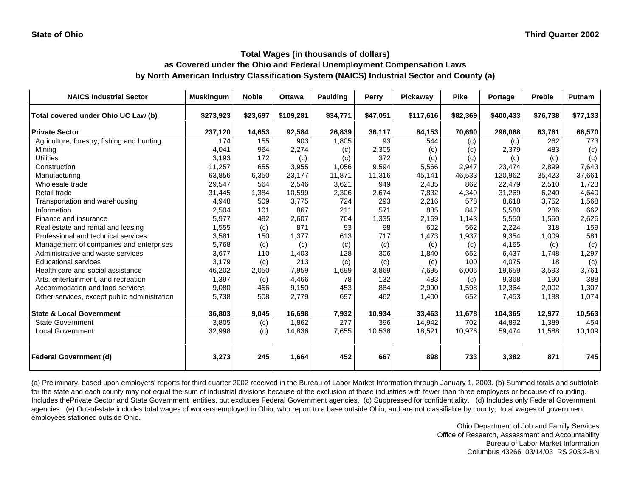| <b>NAICS Industrial Sector</b>               | <b>Muskingum</b> | <b>Noble</b> | <b>Ottawa</b> | <b>Paulding</b> | Perry    | Pickaway  | <b>Pike</b> | Portage   | <b>Preble</b> | <b>Putnam</b> |
|----------------------------------------------|------------------|--------------|---------------|-----------------|----------|-----------|-------------|-----------|---------------|---------------|
| Total covered under Ohio UC Law (b)          | \$273,923        | \$23,697     | \$109,281     | \$34,771        | \$47,051 | \$117,616 | \$82,369    | \$400,433 | \$76,738      | \$77,133      |
| <b>Private Sector</b>                        | 237,120          | 14,653       | 92,584        | 26,839          | 36,117   | 84,153    | 70,690      | 296,068   | 63,761        | 66,570        |
| Agriculture, forestry, fishing and hunting   | 174              | 155          | 903           | 1,805           | 93       | 544       | (c)         | (c)       | 262           | 773           |
| Mining                                       | 4,041            | 964          | 2,274         | (c)             | 2,305    | (c)       | (c)         | 2,379     | 483           | (c)           |
| <b>Utilities</b>                             | 3,193            | 172          | (c)           | (c)             | 372      | (c)       | (c)         | (c)       | (c)           | (c)           |
| Construction                                 | 11,257           | 655          | 3,955         | 1,056           | 9,594    | 5,566     | 2,947       | 23,474    | 2,899         | 7,643         |
| Manufacturing                                | 63,856           | 6,350        | 23,177        | 11,871          | 11,316   | 45,141    | 46,533      | 120,962   | 35,423        | 37,661        |
| Wholesale trade                              | 29,547           | 564          | 2,546         | 3,621           | 949      | 2,435     | 862         | 22,479    | 2,510         | 1,723         |
| <b>Retail trade</b>                          | 31,445           | 1,384        | 10,599        | 2,306           | 2,674    | 7,832     | 4,349       | 31,269    | 6,240         | 4,640         |
| Transportation and warehousing               | 4,948            | 509          | 3,775         | 724             | 293      | 2,216     | 578         | 8,618     | 3,752         | 1,568         |
| Information                                  | 2,504            | 101          | 867           | 211             | 571      | 835       | 847         | 5,580     | 286           | 662           |
| Finance and insurance                        | 5,977            | 492          | 2,607         | 704             | 1,335    | 2.169     | 1.143       | 5,550     | 1.560         | 2,626         |
| Real estate and rental and leasing           | 1,555            | (c)          | 871           | 93              | 98       | 602       | 562         | 2,224     | 318           | 159           |
| Professional and technical services          | 3,581            | 150          | 1,377         | 613             | 717      | 1,473     | 1,937       | 9,354     | 1,009         | 581           |
| Management of companies and enterprises      | 5,768            | (c)          | (c)           | (c)             | (c)      | (c)       | (c)         | 4,165     | (c)           | (c)           |
| Administrative and waste services            | 3,677            | 110          | 1,403         | 128             | 306      | 1,840     | 652         | 6,437     | 1.748         | 1,297         |
| <b>Educational services</b>                  | 3,179            | (c)          | 213           | (c)             | (c)      | (c)       | 100         | 4,075     | 18            | (c)           |
| Health care and social assistance            | 46,202           | 2,050        | 7,959         | 1,699           | 3,869    | 7.695     | 6.006       | 19.659    | 3,593         | 3,761         |
| Arts, entertainment, and recreation          | 1,397            | (c)          | 4.466         | 78              | 132      | 483       | (c)         | 9.368     | 190           | 388           |
| Accommodation and food services              | 9,080            | 456          | 9,150         | 453             | 884      | 2,990     | 1,598       | 12,364    | 2,002         | 1,307         |
| Other services, except public administration | 5,738            | 508          | 2,779         | 697             | 462      | 1,400     | 652         | 7,453     | 1,188         | 1,074         |
| <b>State &amp; Local Government</b>          | 36,803           | 9,045        | 16,698        | 7,932           | 10,934   | 33,463    | 11,678      | 104,365   | 12,977        | 10,563        |
| <b>State Government</b>                      | 3,805            | (c)          | 1,862         | 277             | 396      | 14.942    | 702         | 44.892    | 1.389         | 454           |
| <b>Local Government</b>                      | 32,998           | (c)          | 14,836        | 7,655           | 10,538   | 18,521    | 10,976      | 59,474    | 11,588        | 10,109        |
| <b>Federal Government (d)</b>                | 3,273            | 245          | 1,664         | 452             | 667      | 898       | 733         | 3,382     | 871           | 745           |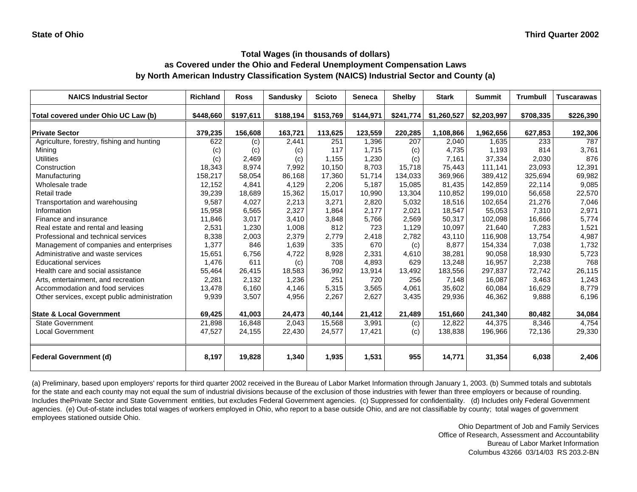| <b>NAICS Industrial Sector</b>               | <b>Richland</b> | <b>Ross</b> | <b>Sandusky</b> | <b>Scioto</b> | <b>Seneca</b> | <b>Shelby</b> | <b>Stark</b> | <b>Summit</b> | <b>Trumbull</b> | <b>Tuscarawas</b> |
|----------------------------------------------|-----------------|-------------|-----------------|---------------|---------------|---------------|--------------|---------------|-----------------|-------------------|
| Total covered under Ohio UC Law (b)          | \$448,660       | \$197,611   | \$188,194       | \$153,769     | \$144,971     | \$241,774     | \$1,260,527  | \$2,203,997   | \$708,335       | \$226,390         |
| <b>Private Sector</b>                        | 379,235         | 156,608     | 163,721         | 113,625       | 123,559       | 220,285       | 1,108,866    | 1,962,656     | 627,853         | 192,306           |
| Agriculture, forestry, fishing and hunting   | 622             | (c)         | 2,441           | 251           | 1,396         | 207           | 2,040        | 1,635         | 233             | 787               |
| Mining                                       | (c)             | (c)         | (c)             | 117           | 1,715         | (c)           | 4,735        | 1,193         | 814             | 3,761             |
| <b>Utilities</b>                             | (c)             | 2,469       | (c)             | 1,155         | 1,230         | (c)           | 7,161        | 37,334        | 2,030           | 876               |
| Construction                                 | 18,343          | 8,974       | 7,992           | 10,150        | 8,703         | 15,718        | 75,443       | 111,141       | 23,093          | 12,391            |
| Manufacturing                                | 158,217         | 58,054      | 86,168          | 17,360        | 51,714        | 134,033       | 369,966      | 389,412       | 325,694         | 69,982            |
| Wholesale trade                              | 12,152          | 4,841       | 4,129           | 2,206         | 5,187         | 15,085        | 81,435       | 142,859       | 22,114          | 9,085             |
| Retail trade                                 | 39,239          | 18,689      | 15,362          | 15,017        | 10,990        | 13,304        | 110,852      | 199,010       | 56,658          | 22,570            |
| Transportation and warehousing               | 9,587           | 4,027       | 2,213           | 3,271         | 2,820         | 5,032         | 18,516       | 102,654       | 21,276          | 7,046             |
| Information                                  | 15,958          | 6,565       | 2,327           | 1,864         | 2,177         | 2,021         | 18,547       | 55,053        | 7,310           | 2,971             |
| Finance and insurance                        | 11,846          | 3,017       | 3,410           | 3,848         | 5,766         | 2,569         | 50,317       | 102,098       | 16,666          | 5,774             |
| Real estate and rental and leasing           | 2,531           | 1,230       | 1,008           | 812           | 723           | 1,129         | 10,097       | 21,640        | 7,283           | 1,521             |
| Professional and technical services          | 8,338           | 2,003       | 2,379           | 2,779         | 2,418         | 2,782         | 43,110       | 116,908       | 13,754          | 4,987             |
| Management of companies and enterprises      | 1,377           | 846         | 1,639           | 335           | 670           | (c)           | 8,877        | 154,334       | 7,038           | 1,732             |
| Administrative and waste services            | 15,651          | 6,756       | 4,722           | 8,928         | 2,331         | 4,610         | 38,281       | 90,058        | 18,930          | 5,723             |
| <b>Educational services</b>                  | 1,476           | 611         | (c)             | 708           | 4,893         | 629           | 13,248       | 16,957        | 2,238           | 768               |
| Health care and social assistance            | 55,464          | 26,415      | 18,583          | 36,992        | 13,914        | 13,492        | 183,556      | 297,837       | 72,742          | 26,115            |
| Arts, entertainment, and recreation          | 2,281           | 2,132       | 1,236           | 251           | 720           | 256           | 7,148        | 16,087        | 3,463           | 1,243             |
| Accommodation and food services              | 13,478          | 6,160       | 4,146           | 5,315         | 3,565         | 4,061         | 35,602       | 60,084        | 16,629          | 8,779             |
| Other services, except public administration | 9,939           | 3,507       | 4,956           | 2,267         | 2,627         | 3,435         | 29,936       | 46,362        | 9,888           | 6,196             |
| <b>State &amp; Local Government</b>          | 69,425          | 41,003      | 24,473          | 40,144        | 21,412        | 21,489        | 151,660      | 241,340       | 80,482          | 34,084            |
| <b>State Government</b>                      | 21,898          | 16,848      | 2,043           | 15,568        | 3,991         | (c)           | 12,822       | 44,375        | 8,346           | 4,754             |
| Local Government                             | 47,527          | 24,155      | 22,430          | 24,577        | 17,421        | (c)           | 138,838      | 196,966       | 72,136          | 29,330            |
| <b>Federal Government (d)</b>                | 8,197           | 19,828      | 1,340           | 1,935         | 1,531         | 955           | 14.771       | 31,354        | 6,038           | 2,406             |